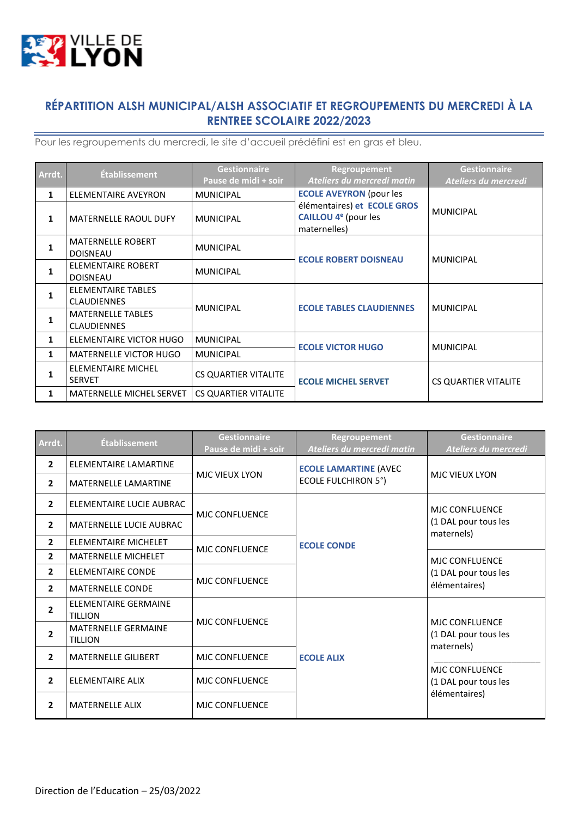

## **RÉPARTITION ALSH MUNICIPAL/ALSH ASSOCIATIF ET REGROUPEMENTS DU MERCREDI À LA RENTREE SCOLAIRE 2022/2023**

 $\overline{\phantom{a}}$ 

Pour les regroupements du mercredi, le site d'accueil prédéfini est en gras et bleu.

| Arrdt. | <b>Établissement</b>                            | <b>Gestionnaire</b><br>Pause de midi + soir | <b>Regroupement</b><br>Ateliers du mercredi matin                               | <b>Gestionnaire</b><br>Ateliers du mercredi |
|--------|-------------------------------------------------|---------------------------------------------|---------------------------------------------------------------------------------|---------------------------------------------|
| 1      | <b>ELEMENTAIRE AVEYRON</b>                      | <b>MUNICIPAL</b>                            | <b>ECOLE AVEYRON (pour les</b>                                                  |                                             |
| 1      | <b>MATERNELLE RAOUL DUFY</b>                    | <b>MUNICIPAL</b>                            | élémentaires) et ECOLE GROS<br>CAILLOU 4 <sup>e</sup> (pour les<br>maternelles) | <b>MUNICIPAL</b>                            |
| 1      | <b>MATERNELLE ROBERT</b><br><b>DOISNEAU</b>     | <b>MUNICIPAL</b>                            |                                                                                 |                                             |
| 1      | ELEMENTAIRE ROBERT<br><b>DOISNEAU</b>           | <b>MUNICIPAL</b>                            | <b>ECOLE ROBERT DOISNEAU</b>                                                    | <b>MUNICIPAL</b>                            |
| 1      | <b>ELEMENTAIRE TABLES</b><br><b>CLAUDIENNES</b> |                                             | <b>ECOLE TABLES CLAUDIENNES</b>                                                 |                                             |
| 1      | <b>MATERNELLE TABLES</b><br><b>CLAUDIENNES</b>  | <b>MUNICIPAL</b>                            |                                                                                 | <b>MUNICIPAL</b>                            |
| 1      | ELEMENTAIRE VICTOR HUGO                         | <b>MUNICIPAL</b>                            | <b>ECOLE VICTOR HUGO</b>                                                        |                                             |
| 1      | <b>MATERNELLE VICTOR HUGO</b>                   | <b>MUNICIPAL</b>                            |                                                                                 | <b>MUNICIPAL</b>                            |
| 1      | ELEMENTAIRE MICHEL<br><b>SERVET</b>             | <b>CS QUARTIER VITALITE</b>                 | <b>ECOLE MICHEL SERVET</b>                                                      | <b>CS QUARTIER VITALITE</b>                 |
| 1      | MATERNELLE MICHEL SERVET                        | <b>CS QUARTIER VITALITE</b>                 |                                                                                 |                                             |

| Arrdt.         | Établissement                                 | <b>Gestionnaire</b><br>Pause de midi + soir | Regroupement<br>Ateliers du mercredi matin | <b>Gestionnaire</b><br>Ateliers du mercredi                 |
|----------------|-----------------------------------------------|---------------------------------------------|--------------------------------------------|-------------------------------------------------------------|
| $\overline{2}$ | <b>ELEMENTAIRE LAMARTINE</b>                  |                                             | <b>ECOLE LAMARTINE (AVEC</b>               |                                                             |
| $\mathbf{2}$   | MATERNELLE LAMARTINE                          | <b>MJC VIEUX LYON</b>                       | <b>ECOLE FULCHIRON 5°)</b>                 | <b>MJC VIEUX LYON</b>                                       |
| $\overline{2}$ | ELEMENTAIRE LUCIE AUBRAC                      | <b>MJC CONFLUENCE</b>                       |                                            | <b>MJC CONFLUENCE</b>                                       |
| $\overline{2}$ | <b>MATERNELLE LUCIE AUBRAC</b>                |                                             |                                            | (1 DAL pour tous les<br>maternels)                          |
| $\overline{2}$ | ELEMENTAIRE MICHELET                          | MJC CONFLUENCE                              | <b>ECOLE CONDE</b>                         |                                                             |
| $\overline{2}$ | <b>MATERNELLE MICHELET</b>                    |                                             |                                            | <b>MJC CONFLUENCE</b>                                       |
| $\overline{2}$ | <b>ELEMENTAIRE CONDE</b>                      |                                             |                                            | (1 DAL pour tous les<br>élémentaires)                       |
| $\overline{2}$ | MATERNELLE CONDE                              | <b>MJC CONFLUENCE</b>                       |                                            |                                                             |
| $\overline{2}$ | <b>ELEMENTAIRE GERMAINE</b><br><b>TILLION</b> | <b>MJC CONFLUENCE</b>                       |                                            |                                                             |
| $\overline{2}$ | <b>MATERNELLE GERMAINE</b><br><b>TILLION</b>  |                                             | <b>ECOLE ALIX</b>                          | <b>MJC CONFLUENCE</b><br>(1 DAL pour tous les<br>maternels) |
| $\overline{2}$ | <b>MATERNELLE GILIBERT</b>                    | <b>MJC CONFLUENCE</b>                       |                                            |                                                             |
| $\overline{2}$ | <b>ELEMENTAIRE ALIX</b>                       | <b>MJC CONFLUENCE</b>                       |                                            | <b>MJC CONFLUENCE</b><br>(1 DAL pour tous les               |
| $\overline{2}$ | <b>MATERNELLE ALIX</b>                        | MJC CONFLUENCE                              |                                            | élémentaires)                                               |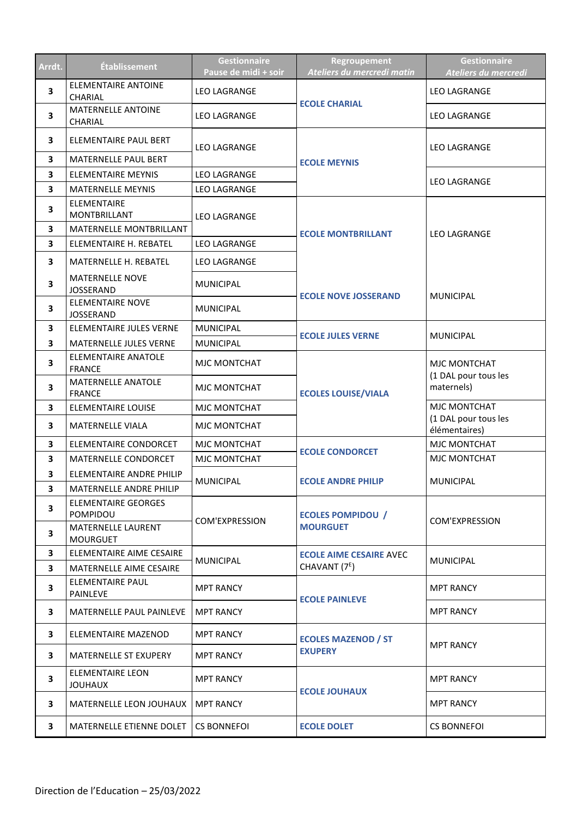| Arrdt.                  | <b>Établissement</b>                           | <b>Gestionnaire</b><br>Pause de midi + soir | Regroupement<br>Ateliers du mercredi matin | <b>Gestionnaire</b><br>Ateliers du mercredi        |
|-------------------------|------------------------------------------------|---------------------------------------------|--------------------------------------------|----------------------------------------------------|
| 3                       | <b>ELEMENTAIRE ANTOINE</b><br><b>CHARIAL</b>   | LEO LAGRANGE                                |                                            | <b>LEO LAGRANGE</b>                                |
| 3                       | <b>MATERNELLE ANTOINE</b><br>CHARIAL           | <b>LEO LAGRANGE</b>                         | <b>ECOLE CHARIAL</b>                       | <b>LEO LAGRANGE</b>                                |
| 3                       | ELEMENTAIRE PAUL BERT                          | <b>LEO LAGRANGE</b>                         |                                            | <b>LEO LAGRANGE</b>                                |
| 3                       | MATERNELLE PAUL BERT                           |                                             | <b>ECOLE MEYNIS</b>                        |                                                    |
| 3                       | <b>ELEMENTAIRE MEYNIS</b>                      | <b>LEO LAGRANGE</b>                         |                                            | <b>LEO LAGRANGE</b>                                |
| 3                       | <b>MATERNELLE MEYNIS</b><br><b>ELEMENTAIRE</b> | LEO LAGRANGE                                |                                            |                                                    |
| 3                       | <b>MONTBRILLANT</b>                            | <b>LEO LAGRANGE</b>                         |                                            |                                                    |
| 3                       | MATERNELLE MONTBRILLANT                        |                                             | <b>ECOLE MONTBRILLANT</b>                  | <b>LEO LAGRANGE</b>                                |
| $\overline{\mathbf{3}}$ | ELEMENTAIRE H. REBATEL                         | <b>LEO LAGRANGE</b>                         |                                            |                                                    |
| 3                       | <b>MATERNELLE H. REBATEL</b>                   | <b>LEO LAGRANGE</b>                         |                                            |                                                    |
| 3                       | <b>MATERNELLE NOVE</b><br><b>JOSSERAND</b>     | <b>MUNICIPAL</b>                            | <b>ECOLE NOVE JOSSERAND</b>                | <b>MUNICIPAL</b>                                   |
| 3                       | <b>ELEMENTAIRE NOVE</b><br><b>JOSSERAND</b>    | <b>MUNICIPAL</b>                            |                                            |                                                    |
| 3                       | ELEMENTAIRE JULES VERNE                        | <b>MUNICIPAL</b>                            | <b>ECOLE JULES VERNE</b>                   | <b>MUNICIPAL</b>                                   |
| 3                       | MATERNELLE JULES VERNE                         | <b>MUNICIPAL</b>                            |                                            |                                                    |
| 3                       | <b>ELEMENTAIRE ANATOLE</b><br><b>FRANCE</b>    | <b>MJC MONTCHAT</b>                         |                                            | MJC MONTCHAT<br>(1 DAL pour tous les<br>maternels) |
| 3                       | MATERNELLE ANATOLE<br><b>FRANCE</b>            | <b>MJC MONTCHAT</b>                         | <b>ECOLES LOUISE/VIALA</b>                 |                                                    |
| 3                       | <b>ELEMENTAIRE LOUISE</b>                      | <b>MJC MONTCHAT</b>                         |                                            | MJC MONTCHAT                                       |
| 3                       | MATERNELLE VIALA                               | MJC MONTCHAT                                |                                            | (1 DAL pour tous les<br>élémentaires)              |
| 3                       | ELEMENTAIRE CONDORCET                          | MJC MONTCHAT                                | <b>ECOLE CONDORCET</b>                     | MJC MONTCHAT                                       |
| 3                       | MATERNELLE CONDORCET                           | <b>MJC MONTCHAT</b>                         |                                            | MJC MONTCHAT                                       |
| 3                       | ELEMENTAIRE ANDRE PHILIP                       | <b>MUNICIPAL</b>                            | <b>ECOLE ANDRE PHILIP</b>                  | <b>MUNICIPAL</b>                                   |
| 3                       | MATERNELLE ANDRE PHILIP                        |                                             |                                            |                                                    |
| 3                       | ELEMENTAIRE GEORGES<br>POMPIDOU                | COM'EXPRESSION                              | <b>ECOLES POMPIDOU /</b>                   | <b>COM'EXPRESSION</b>                              |
| 3                       | <b>MATERNELLE LAURENT</b><br><b>MOURGUET</b>   |                                             | <b>MOURGUET</b>                            |                                                    |
| 3                       | ELEMENTAIRE AIME CESAIRE                       | <b>MUNICIPAL</b>                            | <b>ECOLE AIME CESAIRE AVEC</b>             | <b>MUNICIPAL</b>                                   |
| 3                       | MATERNELLE AIME CESAIRE                        |                                             | CHAVANT (7 <sup>E</sup> )                  |                                                    |
| 3                       | ELEMENTAIRE PAUL<br><b>PAINLEVE</b>            | <b>MPT RANCY</b>                            | <b>ECOLE PAINLEVE</b>                      | <b>MPT RANCY</b>                                   |
| 3                       | <b>MATERNELLE PAUL PAINLEVE</b>                | <b>MPT RANCY</b>                            |                                            | <b>MPT RANCY</b>                                   |
| 3                       | ELEMENTAIRE MAZENOD                            | <b>MPT RANCY</b>                            | <b>ECOLES MAZENOD / ST</b>                 | <b>MPT RANCY</b>                                   |
| 3                       | MATERNELLE ST EXUPERY                          | <b>MPT RANCY</b>                            | <b>EXUPERY</b>                             |                                                    |
| 3                       | ELEMENTAIRE LEON<br><b>JOUHAUX</b>             | <b>MPT RANCY</b>                            | <b>ECOLE JOUHAUX</b>                       | <b>MPT RANCY</b>                                   |
| 3                       | MATERNELLE LEON JOUHAUX                        | <b>MPT RANCY</b>                            |                                            | <b>MPT RANCY</b>                                   |
| 3                       | MATERNELLE ETIENNE DOLET                       | CS BONNEFOI                                 | <b>ECOLE DOLET</b>                         | CS BONNEFOI                                        |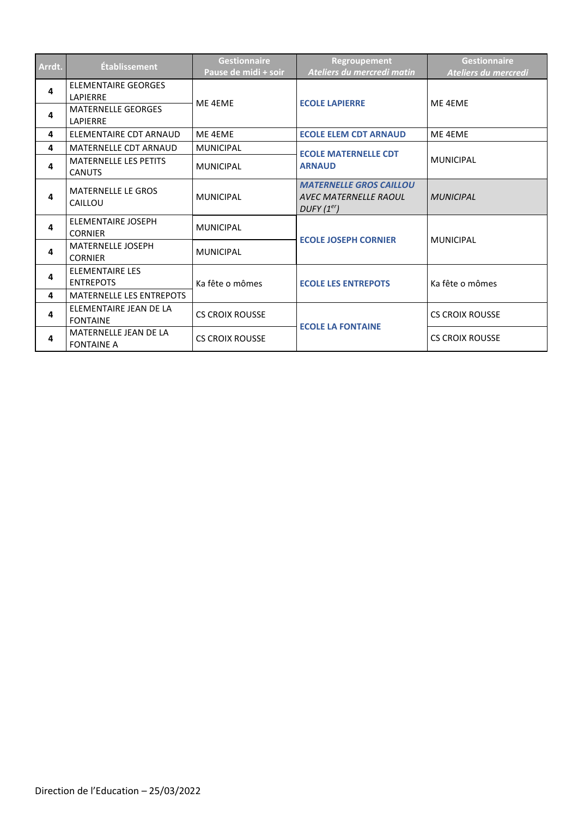| Arrdt. | <b>Établissement</b>                           | <b>Gestionnaire</b><br>Pause de midi + soir | <b>Regroupement</b><br>Ateliers du mercredi matin                                 | <b>Gestionnaire</b><br>Ateliers du mercredi |
|--------|------------------------------------------------|---------------------------------------------|-----------------------------------------------------------------------------------|---------------------------------------------|
| 4      | <b>ELEMENTAIRE GEORGES</b><br><b>I APIFRRF</b> | ME 4EME                                     | <b>ECOLE LAPIERRE</b>                                                             | ME 4EME                                     |
| 4      | <b>MATERNELLE GEORGES</b><br><b>LAPIERRE</b>   |                                             |                                                                                   |                                             |
| 4      | ELEMENTAIRE CDT ARNAUD                         | ME 4EME                                     | <b>ECOLE ELEM CDT ARNAUD</b>                                                      | ME 4EME                                     |
| 4      | <b>MATERNELLE CDT ARNAUD</b>                   | <b>MUNICIPAL</b>                            | <b>ECOLE MATERNELLE CDT</b>                                                       |                                             |
| 4      | <b>MATERNELLE LES PETITS</b><br><b>CANUTS</b>  | <b>MUNICIPAL</b>                            | <b>ARNAUD</b>                                                                     | <b>MUNICIPAL</b>                            |
| 4      | <b>MATERNELLE LE GROS</b><br>CAILLOU           | <b>MUNICIPAL</b>                            | <b>MATERNELLE GROS CAILLOU</b><br>AVEC MATERNELLE RAOUL<br>DUFF(1 <sup>er</sup> ) | <b>MUNICIPAL</b>                            |
| 4      | <b>ELEMENTAIRE JOSEPH</b><br><b>CORNIER</b>    | <b>MUNICIPAL</b>                            | <b>ECOLE JOSEPH CORNIER</b>                                                       | <b>MUNICIPAL</b>                            |
| 4      | <b>MATERNELLE JOSEPH</b><br><b>CORNIER</b>     | <b>MUNICIPAL</b>                            |                                                                                   |                                             |
| 4      | <b>ELEMENTAIRE LES</b><br><b>ENTREPOTS</b>     | Ka fête o mômes                             | <b>ECOLE LES ENTREPOTS</b>                                                        | Ka fête o mômes                             |
| 4      | <b>MATERNELLE LES ENTREPOTS</b>                |                                             |                                                                                   |                                             |
| 4      | ELEMENTAIRE JEAN DE LA<br><b>FONTAINE</b>      | <b>CS CROIX ROUSSE</b>                      | <b>ECOLE LA FONTAINE</b>                                                          | <b>CS CROIX ROUSSE</b>                      |
| 4      | MATERNELLE JEAN DE LA<br><b>FONTAINE A</b>     | <b>CS CROIX ROUSSE</b>                      |                                                                                   | <b>CS CROIX ROUSSE</b>                      |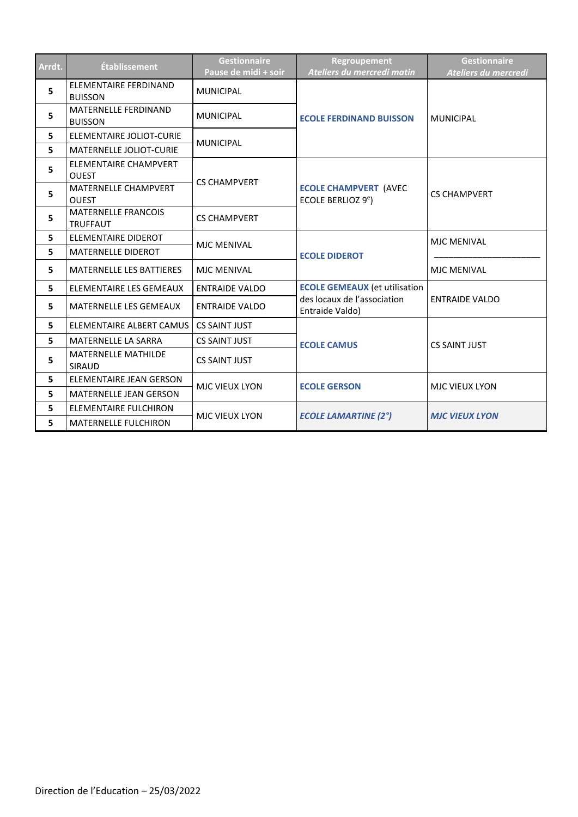| Arrdt. | <b>Établissement</b>                           | <b>Gestionnaire</b><br>Pause de midi + soir | Regroupement<br>Ateliers du mercredi matin                     | <b>Gestionnaire</b><br>Ateliers du mercredi |
|--------|------------------------------------------------|---------------------------------------------|----------------------------------------------------------------|---------------------------------------------|
| 5      | <b>ELEMENTAIRE FERDINAND</b><br><b>BUISSON</b> | <b>MUNICIPAL</b>                            |                                                                | <b>MUNICIPAL</b>                            |
| 5      | MATERNELLE FERDINAND<br><b>BUISSON</b>         | <b>MUNICIPAL</b>                            | <b>ECOLE FERDINAND BUISSON</b>                                 |                                             |
| 5      | ELEMENTAIRE JOLIOT-CURIE                       | <b>MUNICIPAL</b>                            |                                                                |                                             |
| 5      | MATERNELLE JOLIOT-CURIE                        |                                             |                                                                |                                             |
| 5      | ELEMENTAIRE CHAMPVERT<br><b>OUEST</b>          | <b>CS CHAMPVERT</b>                         |                                                                |                                             |
| 5      | MATERNELLE CHAMPVERT<br><b>OUEST</b>           |                                             | <b>ECOLE CHAMPVERT (AVEC</b><br>ECOLE BERLIOZ 9 <sup>e</sup> ) | <b>CS CHAMPVERT</b>                         |
| 5      | <b>MATERNELLE FRANCOIS</b><br><b>TRUFFAUT</b>  | <b>CS CHAMPVERT</b>                         |                                                                |                                             |
| 5      | <b>ELEMENTAIRE DIDEROT</b>                     | <b>MJC MENIVAL</b>                          |                                                                | MJC MENIVAL                                 |
| 5      | MATERNELLE DIDEROT                             |                                             | <b>ECOLE DIDEROT</b>                                           |                                             |
| 5      | <b>MATERNELLE LES BATTIERES</b>                | <b>MJC MENIVAL</b>                          |                                                                | <b>MJC MENIVAL</b>                          |
| 5      | ELEMENTAIRE LES GEMEAUX                        | <b>ENTRAIDE VALDO</b>                       | <b>ECOLE GEMEAUX (et utilisation</b>                           |                                             |
| 5      | <b>MATERNELLE LES GEMEAUX</b>                  | <b>ENTRAIDE VALDO</b>                       | des locaux de l'association<br>Entraide Valdo)                 | <b>ENTRAIDE VALDO</b>                       |
| 5      | ELEMENTAIRE ALBERT CAMUS                       | <b>CS SAINT JUST</b>                        |                                                                | <b>CS SAINT JUST</b>                        |
| 5      | MATERNELLE LA SARRA                            | <b>CS SAINT JUST</b>                        | <b>ECOLE CAMUS</b>                                             |                                             |
| 5      | <b>MATERNELLE MATHILDE</b><br><b>SIRAUD</b>    | <b>CS SAINT JUST</b>                        |                                                                |                                             |
| 5      | ELEMENTAIRE JEAN GERSON                        | <b>MJC VIEUX LYON</b>                       | <b>ECOLE GERSON</b>                                            | <b>MJC VIEUX LYON</b>                       |
| 5      | MATERNELLE JEAN GERSON                         |                                             |                                                                |                                             |
| 5      | <b>ELEMENTAIRE FULCHIRON</b>                   | MJC VIEUX LYON                              | <b>ECOLE LAMARTINE (2°)</b>                                    | <b>MJC VIEUX LYON</b>                       |
| 5      | <b>MATERNELLE FULCHIRON</b>                    |                                             |                                                                |                                             |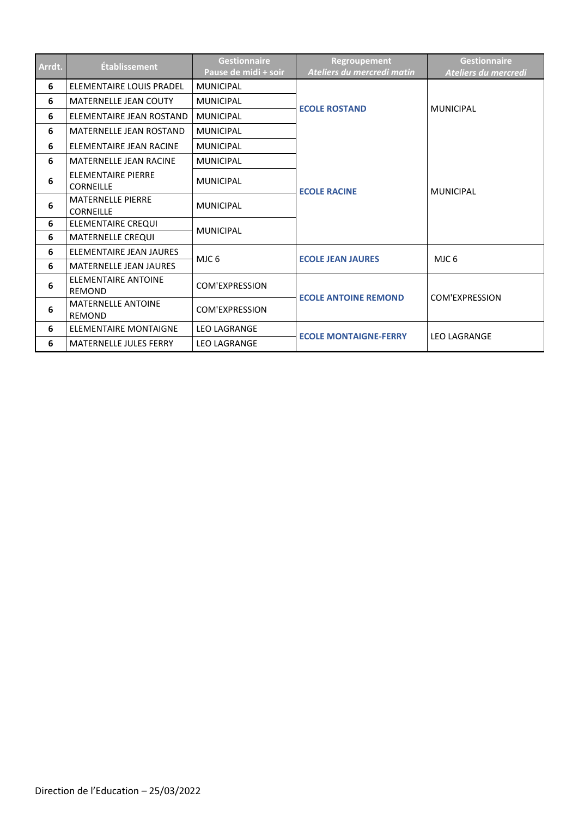| Arrdt. | <b>Établissement</b>                          | <b>Gestionnaire</b><br>Pause de midi + soir | Regroupement<br>Ateliers du mercredi matin | <b>Gestionnaire</b><br>Ateliers du mercredi |
|--------|-----------------------------------------------|---------------------------------------------|--------------------------------------------|---------------------------------------------|
| 6      | ELEMENTAIRE LOUIS PRADEL                      | <b>MUNICIPAL</b>                            |                                            | <b>MUNICIPAL</b>                            |
| 6      | <b>MATERNELLE JEAN COUTY</b>                  | <b>MUNICIPAL</b>                            |                                            |                                             |
| 6      | ELEMENTAIRE JEAN ROSTAND                      | <b>MUNICIPAL</b>                            | <b>ECOLE ROSTAND</b>                       |                                             |
| 6      | <b>MATERNELLE JEAN ROSTAND</b>                | <b>MUNICIPAL</b>                            |                                            |                                             |
| 6      | ELEMENTAIRE JEAN RACINE                       | <b>MUNICIPAL</b>                            |                                            |                                             |
| 6      | <b>MATERNELLE JEAN RACINE</b>                 | <b>MUNICIPAL</b>                            |                                            |                                             |
| 6      | <b>ELEMENTAIRE PIERRE</b><br><b>CORNEILLE</b> | <b>MUNICIPAL</b>                            | <b>ECOLE RACINE</b>                        | <b>MUNICIPAL</b>                            |
| 6      | <b>MATERNELLE PIERRE</b><br><b>CORNEILLE</b>  | <b>MUNICIPAL</b>                            |                                            |                                             |
| 6      | ELEMENTAIRE CREQUI                            | <b>MUNICIPAL</b>                            |                                            |                                             |
| 6      | <b>MATERNELLE CREQUI</b>                      |                                             |                                            |                                             |
| 6      | ELEMENTAIRE JEAN JAURES                       | MJC 6                                       | <b>ECOLE JEAN JAURES</b>                   | MJC <sub>6</sub>                            |
| 6      | <b>MATERNELLE JEAN JAURES</b>                 |                                             |                                            |                                             |
| 6      | <b>ELEMENTAIRE ANTOINE</b><br><b>REMOND</b>   | COM'EXPRESSION                              | <b>ECOLE ANTOINE REMOND</b>                | COM'EXPRESSION                              |
| 6      | <b>MATERNELLE ANTOINE</b><br><b>REMOND</b>    | COM'EXPRESSION                              |                                            |                                             |
| 6      | <b>ELEMENTAIRE MONTAIGNE</b>                  | <b>LEO LAGRANGE</b>                         | <b>ECOLE MONTAIGNE-FERRY</b>               |                                             |
| 6      | <b>MATERNELLE JULES FERRY</b>                 | <b>LEO LAGRANGE</b>                         |                                            | <b>LEO LAGRANGE</b>                         |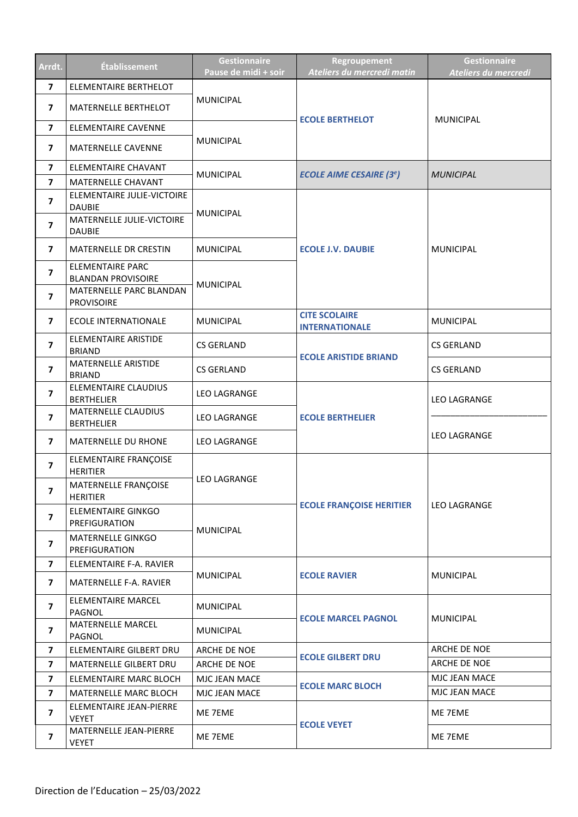| Arrdt.                   | Établissement                                        | <b>Gestionnaire</b><br>Pause de midi + soir | Regroupement<br>Ateliers du mercredi matin    | <b>Gestionnaire</b><br>Ateliers du mercredi |
|--------------------------|------------------------------------------------------|---------------------------------------------|-----------------------------------------------|---------------------------------------------|
| $\overline{\mathbf{z}}$  | <b>ELEMENTAIRE BERTHELOT</b>                         |                                             |                                               | <b>MUNICIPAL</b>                            |
| $\overline{7}$           | MATERNELLE BERTHELOT                                 | <b>MUNICIPAL</b>                            | <b>ECOLE BERTHELOT</b>                        |                                             |
| $\overline{\mathbf{z}}$  | ELEMENTAIRE CAVENNE                                  |                                             |                                               |                                             |
| $\overline{7}$           | MATERNELLE CAVENNE                                   | <b>MUNICIPAL</b>                            |                                               |                                             |
| $\overline{7}$           | <b>ELEMENTAIRE CHAVANT</b>                           | <b>MUNICIPAL</b>                            | <b>ECOLE AIME CESAIRE (3<sup>e</sup>)</b>     | <b>MUNICIPAL</b>                            |
| $\overline{\mathbf{z}}$  | MATERNELLE CHAVANT                                   |                                             |                                               |                                             |
| $\overline{\mathbf{z}}$  | ELEMENTAIRE JULIE-VICTOIRE<br><b>DAUBIE</b>          | <b>MUNICIPAL</b>                            |                                               |                                             |
| $\overline{\mathbf{z}}$  | MATERNELLE JULIE-VICTOIRE<br><b>DAUBIE</b>           |                                             |                                               |                                             |
| $\overline{\mathbf{z}}$  | <b>MATERNELLE DR CRESTIN</b>                         | <b>MUNICIPAL</b>                            | <b>ECOLE J.V. DAUBIE</b>                      | <b>MUNICIPAL</b>                            |
| $\overline{\mathbf{z}}$  | <b>ELEMENTAIRE PARC</b><br><b>BLANDAN PROVISOIRE</b> |                                             |                                               |                                             |
| $\overline{\mathbf{z}}$  | MATERNELLE PARC BLANDAN<br><b>PROVISOIRE</b>         | <b>MUNICIPAL</b>                            |                                               |                                             |
| $\overline{7}$           | <b>ECOLE INTERNATIONALE</b>                          | <b>MUNICIPAL</b>                            | <b>CITE SCOLAIRE</b><br><b>INTERNATIONALE</b> | <b>MUNICIPAL</b>                            |
| $\overline{7}$           | ELEMENTAIRE ARISTIDE<br><b>BRIAND</b>                | <b>CS GERLAND</b>                           |                                               | <b>CS GERLAND</b>                           |
| $\overline{7}$           | MATERNELLE ARISTIDE<br><b>BRIAND</b>                 | <b>CS GERLAND</b>                           | <b>ECOLE ARISTIDE BRIAND</b>                  | <b>CS GERLAND</b>                           |
| $\overline{7}$           | ELEMENTAIRE CLAUDIUS<br><b>BERTHELIER</b>            | LEO LAGRANGE                                |                                               | <b>LEO LAGRANGE</b>                         |
| $\overline{\mathbf{z}}$  | <b>MATERNELLE CLAUDIUS</b><br><b>BERTHELIER</b>      | <b>LEO LAGRANGE</b>                         | <b>ECOLE BERTHELIER</b>                       | <b>LEO LAGRANGE</b>                         |
| $\overline{ }$           | <b>MATERNELLE DU RHONE</b>                           | <b>LEO LAGRANGE</b>                         |                                               |                                             |
| $\overline{\mathbf{z}}$  | ELEMENTAIRE FRANÇOISE<br><b>HERITIER</b>             |                                             |                                               | <b>LEO LAGRANGE</b>                         |
| 7                        | MATERNELLE FRANÇOISE<br><b>HERITIER</b>              | <b>LEO LAGRANGE</b>                         |                                               |                                             |
| $\overline{\mathbf{z}}$  | <b>ELEMENTAIRE GINKGO</b><br>PREFIGURATION           |                                             | <b>ECOLE FRANÇOISE HERITIER</b>               |                                             |
| $\overline{\mathbf{z}}$  | MATERNELLE GINKGO<br>PREFIGURATION                   | <b>MUNICIPAL</b>                            |                                               |                                             |
| $\overline{\mathbf{z}}$  | ELEMENTAIRE F-A. RAVIER                              |                                             |                                               | <b>MUNICIPAL</b>                            |
| 7                        | <b>MATERNELLE F-A. RAVIER</b>                        | <b>MUNICIPAL</b>                            | <b>ECOLE RAVIER</b>                           |                                             |
| $\overline{\mathbf{z}}$  | <b>ELEMENTAIRE MARCEL</b><br>PAGNOL                  | <b>MUNICIPAL</b>                            |                                               | <b>MUNICIPAL</b>                            |
| 7                        | <b>MATERNELLE MARCEL</b><br>PAGNOL                   | <b>MUNICIPAL</b>                            | <b>ECOLE MARCEL PAGNOL</b>                    |                                             |
| 7                        | ELEMENTAIRE GILBERT DRU                              | ARCHE DE NOE                                | <b>ECOLE GILBERT DRU</b>                      | ARCHE DE NOE                                |
| $\overline{\mathbf{z}}$  | MATERNELLE GILBERT DRU                               | ARCHE DE NOE                                |                                               | ARCHE DE NOE                                |
| $\overline{7}$           | ELEMENTAIRE MARC BLOCH                               | MJC JEAN MACE                               | <b>ECOLE MARC BLOCH</b>                       | MJC JEAN MACE                               |
| $\overline{7}$           | MATERNELLE MARC BLOCH                                | MJC JEAN MACE                               |                                               | MJC JEAN MACE                               |
| $\overline{\phantom{a}}$ | ELEMENTAIRE JEAN-PIERRE<br><b>VEYET</b>              | ME 7EME                                     | <b>ECOLE VEYET</b>                            | ME 7EME                                     |
| $\overline{\mathbf{z}}$  | MATERNELLE JEAN-PIERRE<br><b>VEYET</b>               | ME 7EME                                     |                                               | ME 7EME                                     |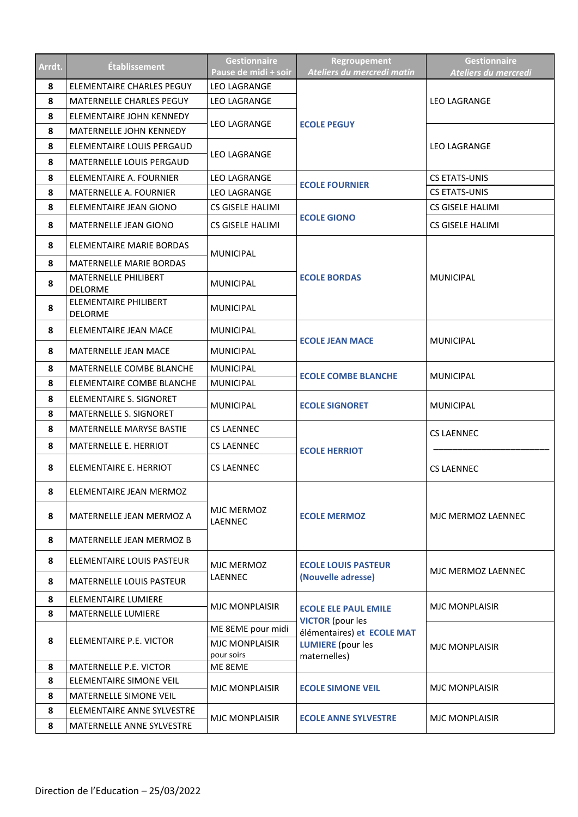| Arrdt. | <b>Établissement</b>                    | <b>Gestionnaire</b><br>Pause de midi + soir | Regroupement<br>Ateliers du mercredi matin | Gestionnaire<br>Ateliers du mercredi |
|--------|-----------------------------------------|---------------------------------------------|--------------------------------------------|--------------------------------------|
| 8      | ELEMENTAIRE CHARLES PEGUY               | <b>LEO LAGRANGE</b>                         |                                            |                                      |
| 8      | <b>MATERNELLE CHARLES PEGUY</b>         | <b>LEO LAGRANGE</b>                         |                                            | <b>LEO LAGRANGE</b>                  |
| 8      | ELEMENTAIRE JOHN KENNEDY                | <b>LEO LAGRANGE</b>                         |                                            |                                      |
| 8      | MATERNELLE JOHN KENNEDY                 |                                             | <b>ECOLE PEGUY</b>                         |                                      |
| 8      | ELEMENTAIRE LOUIS PERGAUD               |                                             |                                            | <b>LEO LAGRANGE</b>                  |
| 8      | <b>MATERNELLE LOUIS PERGAUD</b>         | <b>LEO LAGRANGE</b>                         |                                            |                                      |
| 8      | ELEMENTAIRE A. FOURNIER                 | <b>LEO LAGRANGE</b>                         |                                            | <b>CS ETATS-UNIS</b>                 |
| 8      | <b>MATERNELLE A. FOURNIER</b>           | <b>LEO LAGRANGE</b>                         | <b>ECOLE FOURNIER</b>                      | <b>CS ETATS-UNIS</b>                 |
| 8      | ELEMENTAIRE JEAN GIONO                  | <b>CS GISELE HALIMI</b>                     |                                            | CS GISELE HALIMI                     |
| 8      | MATERNELLE JEAN GIONO                   | <b>CS GISELE HALIMI</b>                     | <b>ECOLE GIONO</b>                         | CS GISELE HALIMI                     |
| 8      | ELEMENTAIRE MARIE BORDAS                | <b>MUNICIPAL</b>                            |                                            |                                      |
| 8      | <b>MATERNELLE MARIE BORDAS</b>          |                                             |                                            |                                      |
| 8      | MATERNELLE PHILIBERT<br><b>DELORME</b>  | <b>MUNICIPAL</b>                            | <b>ECOLE BORDAS</b>                        | <b>MUNICIPAL</b>                     |
| 8      | ELEMENTAIRE PHILIBERT<br><b>DELORME</b> | <b>MUNICIPAL</b>                            |                                            |                                      |
| 8      | ELEMENTAIRE JEAN MACE                   | <b>MUNICIPAL</b>                            | <b>ECOLE JEAN MACE</b>                     | <b>MUNICIPAL</b>                     |
| 8      | <b>MATERNELLE JEAN MACE</b>             | <b>MUNICIPAL</b>                            |                                            |                                      |
| 8      | MATERNELLE COMBE BLANCHE                | <b>MUNICIPAL</b>                            | <b>ECOLE COMBE BLANCHE</b>                 | <b>MUNICIPAL</b>                     |
| 8      | ELEMENTAIRE COMBE BLANCHE               | <b>MUNICIPAL</b>                            |                                            |                                      |
| 8      | ELEMENTAIRE S. SIGNORET                 | <b>MUNICIPAL</b>                            | <b>ECOLE SIGNORET</b>                      | <b>MUNICIPAL</b>                     |
| 8      | MATERNELLE S. SIGNORET                  |                                             |                                            |                                      |
| 8      | MATERNELLE MARYSE BASTIE                | <b>CS LAENNEC</b>                           |                                            | CS LAENNEC                           |
| 8      | MATERNELLE E. HERRIOT                   | <b>CS LAENNEC</b>                           | <b>ECOLE HERRIOT</b>                       |                                      |
| 8      | ELEMENTAIRE E. HERRIOT                  | <b>CS LAENNEC</b>                           |                                            | <b>CS LAENNEC</b>                    |
| 8      | ELEMENTAIRE JEAN MERMOZ                 |                                             |                                            |                                      |
| 8      | MATERNELLE JEAN MERMOZ A                | MJC MERMOZ<br>LAENNEC                       | <b>ECOLE MERMOZ</b>                        | MJC MERMOZ LAENNEC                   |
| 8      | MATERNELLE JEAN MERMOZ B                |                                             |                                            |                                      |
| 8      | ELEMENTAIRE LOUIS PASTEUR               | MJC MERMOZ                                  | <b>ECOLE LOUIS PASTEUR</b>                 | MJC MERMOZ LAENNEC                   |
| 8      | <b>MATERNELLE LOUIS PASTEUR</b>         | LAENNEC                                     | (Nouvelle adresse)                         |                                      |
| 8      | <b>ELEMENTAIRE LUMIERE</b>              | <b>MJC MONPLAISIR</b>                       | <b>ECOLE ELE PAUL EMILE</b>                | <b>MJC MONPLAISIR</b>                |
| 8      | MATERNELLE LUMIERE                      |                                             | <b>VICTOR</b> (pour les                    |                                      |
|        |                                         | ME 8EME pour midi                           | élémentaires) et ECOLE MAT                 |                                      |
| 8      | ELEMENTAIRE P.E. VICTOR                 | MJC MONPLAISIR                              | <b>LUMIERE</b> (pour les                   | <b>MJC MONPLAISIR</b>                |
| 8      | MATERNELLE P.E. VICTOR                  | pour soirs<br>ME 8EME                       | maternelles)                               |                                      |
| 8      | ELEMENTAIRE SIMONE VEIL                 |                                             |                                            |                                      |
| 8      | MATERNELLE SIMONE VEIL                  | <b>MJC MONPLAISIR</b>                       | <b>ECOLE SIMONE VEIL</b>                   | <b>MJC MONPLAISIR</b>                |
| 8      | ELEMENTAIRE ANNE SYLVESTRE              |                                             |                                            |                                      |
| 8      | MATERNELLE ANNE SYLVESTRE               | <b>MJC MONPLAISIR</b>                       | <b>ECOLE ANNE SYLVESTRE</b>                | <b>MJC MONPLAISIR</b>                |